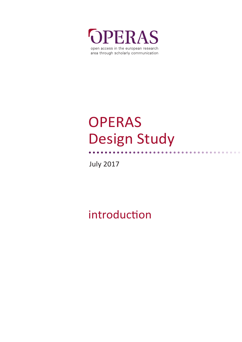

# **OPERAS** Design Study

July 2017

# introduction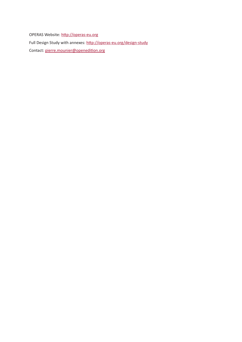OPERAS Website: [http://operas-eu.org](http://operas-eu.org/) Full Design Study with annexes: <http://operas-eu.org/design-study> Contact: [pierre.mounier@openedition.org](mailto:pierre.mounier%40openedition.org?subject=)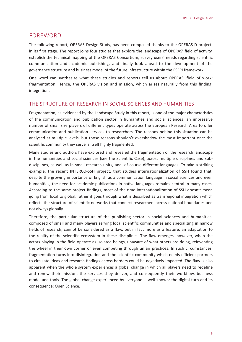# FOREWORD

The following report, OPERAS Design Study, has been composed thanks to the OPERAS-D project, in its first stage. The report joins four studies that explore the landscape of OPERAS' field of activity, establish the technical mapping of the OPERAS Consortium, survey users' needs regarding scientific communication and academic publishing, and finally look ahead to the development of the governance structure and business model of the future infrastructure within the ESFRI framework.

One word can synthesize what these studies and reports tell us about OPERAS' field of work: fragmentation. Hence, the OPERAS vision and mission, which arises naturally from this finding: integration.

#### THE STRUCTURE OF RESEARCH IN SOCIAL SCIENCES AND HUMANITIES

Fragmentation, as evidenced by the Landscape Study in this report, is one of the major characteristics of the communication and publication sector in humanities and social sciences: an impressive number of small size players of different types operate across the European Research Area to offer communication and publication services to researchers. The reasons behind this situation can be analysed at multiple levels, but those reasons shouldn't overshadow the most important one: the scientific community they serve is itself highly fragmented.

Many studies and authors have explored and revealed the fragmentation of the research landscape in the humanities and social sciences (see the Scientific Case), across multiple disciplines and subdisciplines, as well as in small research units, and, of course different languages. To take a striking example, the recent INTERCO-SSH project, that studies internationalization of SSH found that, despite the growing importance of English as a communication language in social sciences and even humanities, the need for academic publications in native languages remains central in many cases. According to the same project findings, most of the time internationalization of SSH doesn't mean going from local to global, rather it goes through what is described as transregional integration which reflects the structure of scientific networks that connect researchers across national boundaries and not always globally.

Therefore, the particular structure of the publishing sector in social sciences and humanities, composed of small and many players serving local scientific communities and specializing in narrow fields of research, cannot be considered as a flaw, but in fact more as a feature, an adaptation to the reality of the scientific ecosystem in these disciplines. The flaw emerges, however, when the actors playing in the field operate as isolated beings, unaware of what others are doing, reinventing the wheel in their own corner or even competing through unfair practices. In such circumstances, fragmentation turns into disintegration and the scientific community which needs efficient partners to circulate ideas and research findings across borders could be negatively impacted. The flaw is also apparent when the whole system experiences a global change in which all players need to redefine and renew their mission, the services they deliver, and consequently their workflow, business model and tools. The global change experienced by everyone is well known: the digital turn and its consequence: Open Science.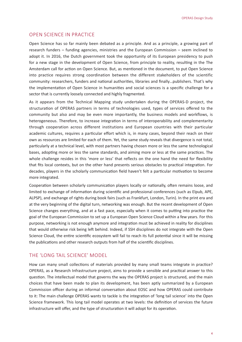# OPEN SCIENCE IN PRACTICE

Open Science has so far mainly been debated as a principle. And as a principle, a growing part of research funders – funding agencies, ministries and the European Commission – seem inclined to adopt it. In 2016, the Dutch government took the opportunity of its European presidency to push for a new stage in the development of Open Science, from principle to reality, resulting in the The Amsterdam call for action on Open Science. But, as mentioned in the document, to put Open Science into practice requires strong coordination between the different stakeholders of the scientific community: researchers, funders and national authorities, libraries and finally…publishers. That's why the implementation of Open Science in humanities and social sciences is a specific challenge for a sector that is currently loosely connected and highly fragmented.

As it appears from the Technical Mapping study undertaken during the OPERAS-D project, the structuration of OPERAS partners in terms of technologies used, types of services offered to the community but also and may be even more importantly, the business models and workflows, is heterogeneous. Therefore, to increase integration in terms of interoperability and complementarity through cooperation across different institutions and European countries with their particular academic cultures, requires a particular effort which is, in many cases, beyond their reach on their own as resources are limited for each of them. Yet, the same study reveals that divergence is not total, particularly at a technical level, with most partners having chosen more or less the same technological bases, adopting more or less the same standards, and aiming more or less at the same practices. The whole challenge resides in this 'more or less' that reflects on the one hand the need for flexibility that fits local contexts, but on the other hand presents serious obstacles to practical integration. For decades, players in the scholarly communication field haven't felt a particular motivation to become more integrated.

Cooperation between scholarly communication players locally or nationally, often remains loose, and limited to exchange of information during scientific and professional conferences (such as Elpub, APE, ALPSP), and exchange of rights during book fairs (such as Frankfurt, London, Turin). In the print era and at the very beginning of the digital turn, networking was enough. But the recent development of Open Science changes everything, and at a fast pace, especially when it comes to putting into practice the goal of the European Commission to set up a European Open Science Cloud within a few years. For this purpose, networking is not enough anymore and integration must be achieved in reality for disciplines that would otherwise risk being left behind. Indeed, if SSH disciplines do not integrate with the Open Science Cloud, the entire scientific ecosystem will fail to reach its full potential since it will be missing the publications and other research outputs from half of the scientific disciplines.

# THE 'LONG TAIL SCIENCE' MODEL

How can many small collections of materials provided by many small teams integrate in practice? OPERAS, as a Research Infrastructure project, aims to provide a sensible and practical answer to this question. The intellectual model that governs the way the OPERAS project is structured, and the main choices that have been made to plan its development, has been aptly summarized by a European Commission officer during an informal conversation about EOSC and how OPERAS could contribute to it: The main challenge OPERAS wants to tackle is the integration of 'long tail science' into the Open Science framework. This long tail model operates at two levels: the definition of services the future infrastructure will offer, and the type of structuration it will adopt for its operation.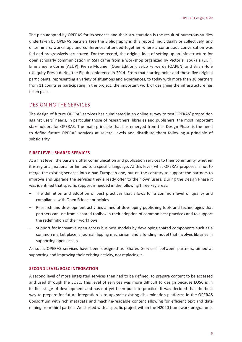The plan adopted by OPERAS for its services and their structuration is the result of numerous studies undertaken by OPERAS partners (see the Bibliography in this report), individually or collectively, and of seminars, workshops and conferences attended together where a continuous conversation was fed and progressively structured. For the record, the original idea of setting up an infrastructure for open scholarly communication in SSH came from a workshop organized by Victoria Tsoukala (EKT), Emmanuelle Corne (AEUP), Pierre Mounier (OpenEdition), Eelco Ferwerda (OAPEN) and Brian Hole (Ubiquity Press) during the Elpub conference in 2014. From that starting point and those five original participants, representing a variety of situations and experiences, to today with more than 30 partners from 11 countries participating in the project, the important work of designing the infrastructure has taken place.

## DESIGNING THE SERVICES

The design of future OPERAS services has culminated in an online survey to test OPERAS' proposition against users' needs, in particular those of researchers, libraries and publishers, the most important stakeholders for OPERAS. The main principle that has emerged from this Design Phase is the need to define future OPERAS services at several levels and distribute them following a principle of subsidiarity.

#### **FIRST LEVEL: SHARED SERVICES**

At a first level, the partners offer communication and publication services to their community, whether it is regional, national or limited to a specific language. At this level, what OPERAS proposes is not to merge the existing services into a pan-European one, but on the contrary to support the partners to improve and upgrade the services they already offer to their own users. During the Design Phase it was identified that specific support is needed in the following three key areas:

- The definition and adoption of best practices that allows for a common level of quality and compliance with Open Science principles
- Research and development activities aimed at developing publishing tools and technologies that partners can use from a shared toolbox in their adoption of common best practices and to support the redefinition of their workflows
- Support for innovative open access business models by developing shared components such as a common market place, a journal flipping mechanism and a funding model that involves libraries in supporting open access.

As such, OPERAS services have been designed as 'Shared Services' between partners, aimed at supporting and improving their existing activity, not replacing it.

#### **SECOND LEVEL: EOSC INTEGRATION**

A second level of more integrated services then had to be defined, to prepare content to be accessed and used through the EOSC. This level of services was more difficult to design because EOSC is in its first stage of development and has not yet been put into practice. It was decided that the best way to prepare for future integration is to upgrade existing dissemination platforms in the OPERAS Consortium with rich metadata and machine-readable content allowing for efficient text and data mining from third parties. We started with a specific project within the H2020 framework programme,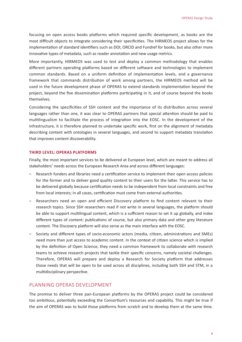focusing on open access books platforms which required specific development, as books are the most difficult objects to integrate considering their specificities. The HIRMEOS project allows for the implementation of standard identifiers such as DOI, ORCID and Fundref for books, but also other more innovative types of metadata, such as reader annotation and new usage metrics.

More importantly, HIRMEOS was used to test and deploy a common methodology that enables different partners operating platforms based on different software and technologies to implement common standards. Based on a uniform definition of implementation levels, and a governance framework that commands distribution of work among partners, the HIRMEOS method will be used in the future development phase of OPERAS to extend standards implementation beyond the project, beyond the five dissemination platforms participating in it, and of course beyond the books themselves.

Considering the specificities of SSH content and the importance of its distribution across several languages rather than one, it was clear to OPERAS partners that special attention should be paid to multilingualism to facilitate the process of integration into the EOSC. In the development of the infrastructure, it is therefore planned to undertake specific work, first on the alignment of metadata describing content with ontologies in several languages, and second to support metadata translation that improves content discoverability.

#### **THIRD LEVEL: OPERAS PLATFORMS**

Finally, the most important services to be delivered at European level, which are meant to address all stakeholders' needs across the European Research Area and across different languages:

- Research funders and libraries need a certification service to implement their open access policies for the former and to deliver good quality content to their users for the latter. This service has to be delivered globally because certification needs to be independent from local constraints and free from local interests; in all cases, certification must come from external authorities.
- Researchers need an open and efficient Discovery platform to find content relevant to their research topics. Since SSH researchers read if not write in several languages, the platform should be able to support multilingual content, which is a sufficient reason to set it up globally, and index different types of content: publications of course, but also primary data and other grey literature content. The Discovery platform will also serve as the main interface with the EOSC.
- Society and different types of socio-economic actors (media, citizen, administrations and SMEs) need more than just access to academic content. In the context of citizen science which is implied by the definition of Open Science, they need a common framework to collaborate with research teams to achieve research projects that tackle their specific concerns, namely societal challenges. Therefore, OPERAS will prepare and deploy a Research for Society platform that addresses those needs that will be open to be used across all disciplines, including both SSH and STM, in a multidisciplinary perspective.

### PLANNING OPERAS DEVELOPMENT

The promise to deliver three pan-European platforms by the OPERAS project could be considered too ambitious, potentially exceeding the Consortium's resources and capability. This might be true if the aim of OPERAS was to build those platforms from scratch and to develop them at the same time.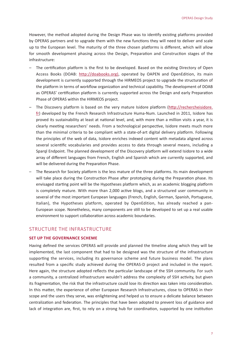However, the method adopted during the Design Phase was to identify existing platforms provided by OPERAS partners and to upgrade them with the new functions they will need to deliver and scale up to the European level. The maturity of the three chosen platforms is different, which will allow for smooth development phasing across the Design, Preparation and Construction stages of the infrastructure:

- The certification platform is the first to be developed. Based on the existing Directory of Open Access Books (DOAB: [http://doabooks.org\)](http://doabooks.org), operated by OAPEN and OpenEdition, its main development is currently supported through the HIRMEOS project to upgrade the structuration of the platform in terms of workflow organization and technical capability. The development of DOAB as OPERAS' certification platform is currently supported across the Design and early Preparation Phase of OPERAS within the HIRMEOS project.
- The Discovery platform is based on the very mature Isidore platform [\(http://rechercheisidore.](http://rechercheisidore.fr) [fr](http://rechercheisidore.fr)) developed by the French Research Infrastructure Huma-Num. Launched in 2011, Isidore has proved its sustainability at least at national level, and, with more than a million visits a year, it is clearly meeting researchers' needs. From a technological perspective, Isidore meets much more than the minimal criteria to be compliant with a state-of-art digital delivery platform. Following the principles of the web of data, Isidore enriches indexed content with metadata aligned across several scientific vocabularies and provides access to data through several means, including a Sparql Endpoint. The planned development of the Discovery platform will extend Isidore to a wide array of different languages from French, English and Spanish which are currently supported, and will be delivered during the Preparation Phase.
- The Research for Society platform is the less mature of the three platforms. Its main development will take place during the Construction Phase after prototyping during the Preparation phase. Its envisaged starting point will be the Hypotheses platform which, as an academic blogging platform is completely mature. With more than 2,000 active blogs, and a structured user community in several of the most important European languages (French, English, German, Spanish, Portuguese, Italian), the Hypotheses platform, operated by OpenEdition, has already reached a pan-European scope. Nonetheless, many components are still to be developed to set up a real usable environment to support collaboration across academic boundaries.

#### STRUCTURE THE INFRASTRUCTURE

#### **SET UP THE GOVERNANCE SCHEME**

Having defined the services OPERAS will provide and planned the timeline along which they will be implemented, the last component that had to be designed was the structure of the infrastructure supporting the services, including its governance scheme and future business model. The plans resulted from a specific study achieved during the OPERAS-D project and included in the report. Here again, the structure adopted reflects the particular landscape of the SSH community. For such a community, a centralized infrastructure wouldn't address the complexity of SSH activity, but given its fragmentation, the risk that the infrastructure could lose its direction was taken into consideration. In this matter, the experience of other European Research Infrastructures, close to OPERAS in their scope and the users they serve, was enlightening and helped us to ensure a delicate balance between centralization and federation. The principles that have been adopted to prevent loss of guidance and lack of integration are, first, to rely on a strong hub for coordination, supported by one institution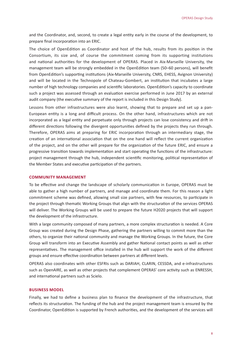and the Coordinator, and, second, to create a legal entity early in the course of the development, to prepare final incorporation into an ERIC.

The choice of OpenEdition as Coordinator and host of the hub, results from its position in the Consortium, its size and, of course the commitment coming from its supporting institutions and national authorities for the development of OPERAS. Placed in Aix-Marseille University, the management team will be strongly embedded in the OpenEdition team (50–60 persons), will benefit from OpenEdition's supporting institutions (Aix-Marseille University, CNRS, EHESS, Avignon University) and will be located in the Technopole of Chateau-Gombert, an institution that incubates a large number of high technology companies and scientific laboratories. OpenEdition's capacity to coordinate such a project was assessed through an evaluation exercise performed in June 2017 by an external audit company (the executive summary of the report is included in this Design Study).

Lessons from other infrastructures were also learnt, showing that to prepare and set up a pan-European entity is a long and difficult process. On the other hand, infrastructures which are not incorporated as a legal entity and perpetuate only through projects can lose consistency and drift in different directions following the divergent opportunities defined by the projects they run through. Therefore, OPERAS aims at preparing for ERIC incorporation through an intermediary stage, the creation of an international association that on the one hand will reflect the current organization of the project, and on the other will prepare for the organization of the future ERIC, and ensure a progressive transition towards implementation and start operating the functions of the infrastructure: project management through the hub, independent scientific monitoring, political representation of the Member States and executive participation of the partners.

#### **COMMUNITY MANAGEMENT**

To be effective and change the landscape of scholarly communication in Europe, OPERAS must be able to gather a high number of partners, and manage and coordinate them. For this reason a light commitment scheme was defined, allowing small size partners, with few resources, to participate in the project through thematic Working Groups that align with the structuration of the services OPERAS will deliver. The Working Groups will be used to prepare the future H2020 projects that will support the development of the infrastructure.

With a large community composed of many partners, a more complex structuration is needed. A Core Group was created during the Design Phase, gathering the partners willing to commit more than the others, to organize their national community and manage the Working Groups. In the future, the Core Group will transform into an Executive Assembly and gather National contact points as well as other representatives. The management office installed in the hub will support the work of the different groups and ensure effective coordination between partners at different levels.

OPERAS also coordinates with other ESFRIs such as DARIAH, CLARIN, CESSDA, and e-infrastructures such as OpenAIRE, as well as other projects that complement OPERAS' core activity such as ENRESSH, and international partners such as Scielo.

#### **BUSINESS MODEL**

Finally, we had to define a business plan to finance the development of the infrastructure, that reflects its structuration. The funding of the hub and the project management team is ensured by the Coordinator, OpenEdition is supported by French authorities, and the development of the services will

8